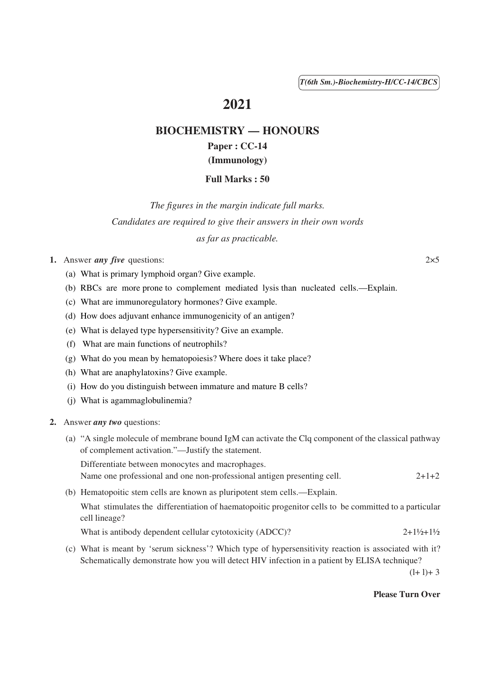( 1 ) *T(6th Sm.)-Biochemistry-H/CC-14/CBCS*

# **2021**

# **BIOCHEMISTRY — HONOURS Paper : CC-14**

# **(Immunology)**

## **Full Marks : 50**

*The figures in the margin indicate full marks. Candidates are required to give their answers in their own words as far as practicable.*

- **1.** Answer *any five* questions: 2×5
	- (a) What is primary lymphoid organ? Give example.
	- (b) RBCs are more prone to complement mediated lysis than nucleated cells.—Explain.
	- (c) What are immunoregulatory hormones? Give example.
	- (d) How does adjuvant enhance immunogenicity of an antigen?
	- (e) What is delayed type hypersensitivity? Give an example.
	- (f) What are main functions of neutrophils?
	- (g) What do you mean by hematopoiesis? Where does it take place?
	- (h) What are anaphylatoxins? Give example.
	- (i) How do you distinguish between immature and mature B cells?
	- (j) What is agammaglobulinemia?
- **2.** Answer *any two* questions:
	- (a) "A single molecule of membrane bound IgM can activate the Clq component of the classical pathway of complement activation."—Justify the statement.

Differentiate between monocytes and macrophages. Name one professional and one non-professional antigen presenting cell. 2+1+2

(b) Hematopoitic stem cells are known as pluripotent stem cells.—Explain.

What stimulates the differentiation of haematopoitic progenitor cells to be committed to a particular cell lineage?

What is antibody dependent cellular cytotoxicity (ADCC)?  $2+1\frac{1}{2}+1\frac{1}{2}$ 

(c) What is meant by 'serum sickness'? Which type of hypersensitivity reaction is associated with it? Schematically demonstrate how you will detect HIV infection in a patient by ELISA technique?

 $(l+1)+3$ 

#### **Please Turn Over**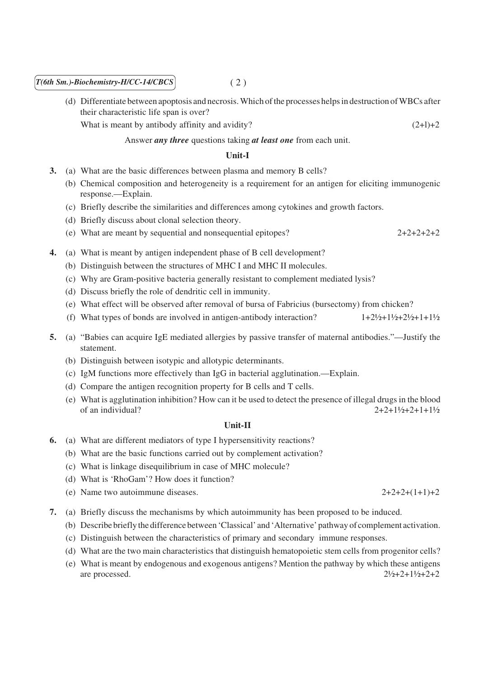### $T(6th Sm.)$ -Biochemistry-H/CC-14/CBCS (2)

(d) Differentiate between apoptosis and necrosis. Which of the processes helps in destruction of WBCs after their characteristic life span is over?

What is meant by antibody affinity and avidity?  $(2+1)+2$ 

Answer *any three* questions taking *at least one* from each unit.

### **Unit-I**

- **3.** (a) What are the basic differences between plasma and memory B cells?
	- (b) Chemical composition and heterogeneity is a requirement for an antigen for eliciting immunogenic response.—Explain.
	- (c) Briefly describe the similarities and differences among cytokines and growth factors.
	- (d) Briefly discuss about clonal selection theory.
	- (e) What are meant by sequential and nonsequential epitopes? 2+2+2+2+2
- **4.** (a) What is meant by antigen independent phase of B cell development?
	- (b) Distinguish between the structures of MHC I and MHC II molecules.
	- (c) Why are Gram-positive bacteria generally resistant to complement mediated lysis?
	- (d) Discuss briefly the role of dendritic cell in immunity.
	- (e) What effect will be observed after removal of bursa of Fabricius (bursectomy) from chicken?
	- (f) What types of bonds are involved in antigen-antibody interaction?  $1+2\frac{1}{2}+1\frac{1}{2}+2\frac{1}{2}+1\frac{1}{2}$
- **5.** (a) "Babies can acquire IgE mediated allergies by passive transfer of maternal antibodies."—Justify the statement.
	- (b) Distinguish between isotypic and allotypic determinants.
	- (c) IgM functions more effectively than IgG in bacterial agglutination.—Explain.
	- (d) Compare the antigen recognition property for B cells and T cells.
	- (e) What is agglutination inhibition? How can it be used to detect the presence of illegal drugs in the blood of an individual?  $2+2+1\frac{1}{2}+2+1+1\frac{1}{2}$

#### **Unit-II**

- **6.** (a) What are different mediators of type I hypersensitivity reactions?
	- (b) What are the basic functions carried out by complement activation?
	- (c) What is linkage disequilibrium in case of MHC molecule?
	- (d) What is 'RhoGam'? How does it function?
	- (e) Name two autoimmune diseases.  $2+2+2+(1+1)+2$
- **7.** (a) Briefly discuss the mechanisms by which autoimmunity has been proposed to be induced.
	- (b) Describe briefly the difference between 'Classical' and 'Alternative' pathway of complement activation.
	- (c) Distinguish between the characteristics of primary and secondary immune responses.
	- (d) What are the two main characteristics that distinguish hematopoietic stem cells from progenitor cells?
	- (e) What is meant by endogenous and exogenous antigens? Mention the pathway by which these antigens are processed.  $2\frac{1}{2} + 2 + 1\frac{1}{2} + 2 + 2$